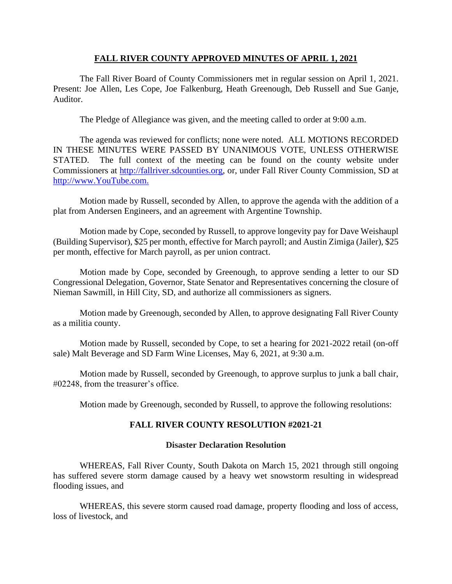## **FALL RIVER COUNTY APPROVED MINUTES OF APRIL 1, 2021**

The Fall River Board of County Commissioners met in regular session on April 1, 2021. Present: Joe Allen, Les Cope, Joe Falkenburg, Heath Greenough, Deb Russell and Sue Ganje, Auditor.

The Pledge of Allegiance was given, and the meeting called to order at 9:00 a.m.

The agenda was reviewed for conflicts; none were noted. ALL MOTIONS RECORDED IN THESE MINUTES WERE PASSED BY UNANIMOUS VOTE, UNLESS OTHERWISE STATED. The full context of the meeting can be found on the county website under Commissioners at [http://fallriver.sdcounties.org,](http://fallriver.sdcounties.org/) or, under Fall River County Commission, SD at [http://www.YouTube.com.](http://www.youtube.com/)

Motion made by Russell, seconded by Allen, to approve the agenda with the addition of a plat from Andersen Engineers, and an agreement with Argentine Township.

Motion made by Cope, seconded by Russell, to approve longevity pay for Dave Weishaupl (Building Supervisor), \$25 per month, effective for March payroll; and Austin Zimiga (Jailer), \$25 per month, effective for March payroll, as per union contract.

Motion made by Cope, seconded by Greenough, to approve sending a letter to our SD Congressional Delegation, Governor, State Senator and Representatives concerning the closure of Nieman Sawmill, in Hill City, SD, and authorize all commissioners as signers.

Motion made by Greenough, seconded by Allen, to approve designating Fall River County as a militia county.

Motion made by Russell, seconded by Cope, to set a hearing for 2021-2022 retail (on-off sale) Malt Beverage and SD Farm Wine Licenses, May 6, 2021, at 9:30 a.m.

Motion made by Russell, seconded by Greenough, to approve surplus to junk a ball chair, #02248, from the treasurer's office.

Motion made by Greenough, seconded by Russell, to approve the following resolutions:

## **FALL RIVER COUNTY RESOLUTION #2021-21**

#### **Disaster Declaration Resolution**

WHEREAS, Fall River County, South Dakota on March 15, 2021 through still ongoing has suffered severe storm damage caused by a heavy wet snowstorm resulting in widespread flooding issues, and

WHEREAS, this severe storm caused road damage, property flooding and loss of access, loss of livestock, and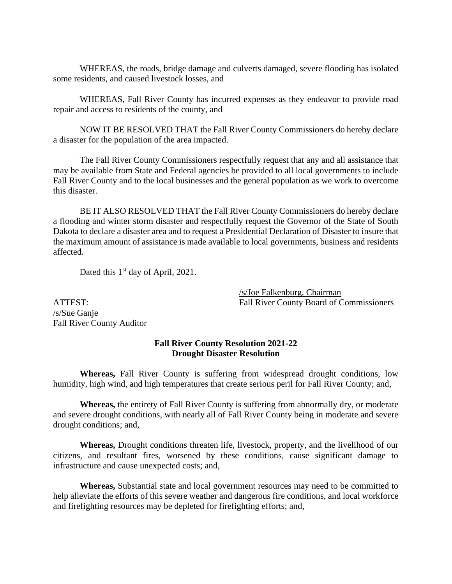WHEREAS, the roads, bridge damage and culverts damaged, severe flooding has isolated some residents, and caused livestock losses, and

WHEREAS, Fall River County has incurred expenses as they endeavor to provide road repair and access to residents of the county, and

NOW IT BE RESOLVED THAT the Fall River County Commissioners do hereby declare a disaster for the population of the area impacted.

The Fall River County Commissioners respectfully request that any and all assistance that may be available from State and Federal agencies be provided to all local governments to include Fall River County and to the local businesses and the general population as we work to overcome this disaster.

BE IT ALSO RESOLVED THAT the Fall River County Commissioners do hereby declare a flooding and winter storm disaster and respectfully request the Governor of the State of South Dakota to declare a disaster area and to request a Presidential Declaration of Disaster to insure that the maximum amount of assistance is made available to local governments, business and residents affected.

Dated this 1<sup>st</sup> day of April, 2021.

/s/Joe Falkenburg, Chairman ATTEST: Fall River County Board of Commissioners

/s/Sue Ganje Fall River County Auditor

# **Fall River County Resolution 2021-22 Drought Disaster Resolution**

**Whereas,** Fall River County is suffering from widespread drought conditions, low humidity, high wind, and high temperatures that create serious peril for Fall River County; and,

**Whereas,** the entirety of Fall River County is suffering from abnormally dry, or moderate and severe drought conditions, with nearly all of Fall River County being in moderate and severe drought conditions; and,

**Whereas,** Drought conditions threaten life, livestock, property, and the livelihood of our citizens, and resultant fires, worsened by these conditions, cause significant damage to infrastructure and cause unexpected costs; and,

**Whereas,** Substantial state and local government resources may need to be committed to help alleviate the efforts of this severe weather and dangerous fire conditions, and local workforce and firefighting resources may be depleted for firefighting efforts; and,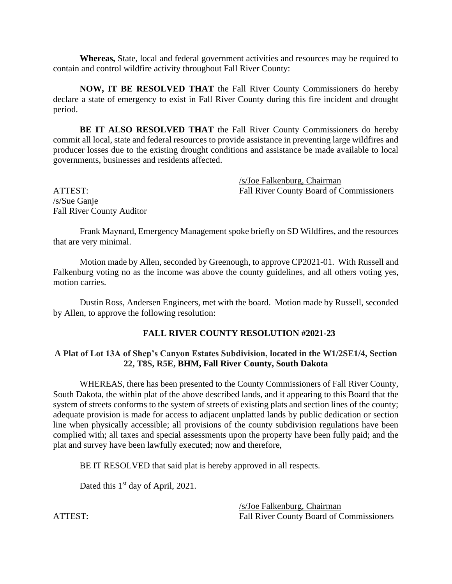**Whereas,** State, local and federal government activities and resources may be required to contain and control wildfire activity throughout Fall River County:

**NOW, IT BE RESOLVED THAT** the Fall River County Commissioners do hereby declare a state of emergency to exist in Fall River County during this fire incident and drought period.

**BE IT ALSO RESOLVED THAT** the Fall River County Commissioners do hereby commit all local, state and federal resources to provide assistance in preventing large wildfires and producer losses due to the existing drought conditions and assistance be made available to local governments, businesses and residents affected.

/s/Joe Falkenburg, Chairman ATTEST: Fall River County Board of Commissioners

/s/Sue Ganje Fall River County Auditor

Frank Maynard, Emergency Management spoke briefly on SD Wildfires, and the resources that are very minimal.

Motion made by Allen, seconded by Greenough, to approve CP2021-01. With Russell and Falkenburg voting no as the income was above the county guidelines, and all others voting yes, motion carries.

Dustin Ross, Andersen Engineers, met with the board. Motion made by Russell, seconded by Allen, to approve the following resolution:

## **FALL RIVER COUNTY RESOLUTION #2021-23**

### **A Plat of Lot 13A of Shep's Canyon Estates Subdivision, located in the W1/2SE1/4, Section 22, T8S, R5E, BHM, Fall River County, South Dakota**

WHEREAS, there has been presented to the County Commissioners of Fall River County, South Dakota, the within plat of the above described lands, and it appearing to this Board that the system of streets conforms to the system of streets of existing plats and section lines of the county; adequate provision is made for access to adjacent unplatted lands by public dedication or section line when physically accessible; all provisions of the county subdivision regulations have been complied with; all taxes and special assessments upon the property have been fully paid; and the plat and survey have been lawfully executed; now and therefore,

BE IT RESOLVED that said plat is hereby approved in all respects.

Dated this 1<sup>st</sup> day of April, 2021.

/s/Joe Falkenburg, Chairman ATTEST: Fall River County Board of Commissioners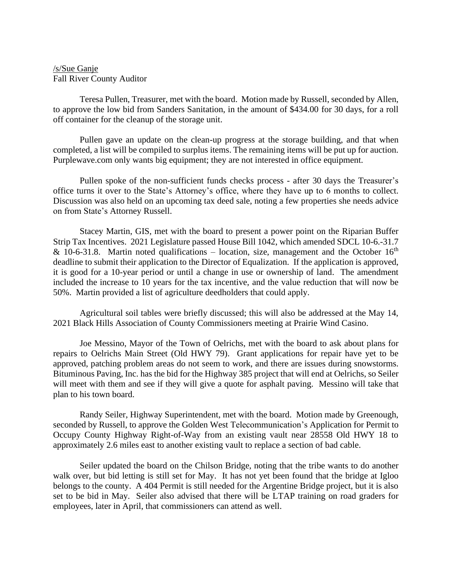## /s/Sue Ganje Fall River County Auditor

Teresa Pullen, Treasurer, met with the board. Motion made by Russell, seconded by Allen, to approve the low bid from Sanders Sanitation, in the amount of \$434.00 for 30 days, for a roll off container for the cleanup of the storage unit.

Pullen gave an update on the clean-up progress at the storage building, and that when completed, a list will be compiled to surplus items. The remaining items will be put up for auction. Purplewave.com only wants big equipment; they are not interested in office equipment.

Pullen spoke of the non-sufficient funds checks process - after 30 days the Treasurer's office turns it over to the State's Attorney's office, where they have up to 6 months to collect. Discussion was also held on an upcoming tax deed sale, noting a few properties she needs advice on from State's Attorney Russell.

Stacey Martin, GIS, met with the board to present a power point on the Riparian Buffer Strip Tax Incentives. 2021 Legislature passed House Bill 1042, which amended SDCL 10-6.-31.7 & 10-6-31.8. Martin noted qualifications – location, size, management and the October  $16<sup>th</sup>$ deadline to submit their application to the Director of Equalization. If the application is approved, it is good for a 10-year period or until a change in use or ownership of land. The amendment included the increase to 10 years for the tax incentive, and the value reduction that will now be 50%. Martin provided a list of agriculture deedholders that could apply.

Agricultural soil tables were briefly discussed; this will also be addressed at the May 14, 2021 Black Hills Association of County Commissioners meeting at Prairie Wind Casino.

Joe Messino, Mayor of the Town of Oelrichs, met with the board to ask about plans for repairs to Oelrichs Main Street (Old HWY 79). Grant applications for repair have yet to be approved, patching problem areas do not seem to work, and there are issues during snowstorms. Bituminous Paving, Inc. has the bid for the Highway 385 project that will end at Oelrichs, so Seiler will meet with them and see if they will give a quote for asphalt paving. Messino will take that plan to his town board.

Randy Seiler, Highway Superintendent, met with the board. Motion made by Greenough, seconded by Russell, to approve the Golden West Telecommunication's Application for Permit to Occupy County Highway Right-of-Way from an existing vault near 28558 Old HWY 18 to approximately 2.6 miles east to another existing vault to replace a section of bad cable.

Seiler updated the board on the Chilson Bridge, noting that the tribe wants to do another walk over, but bid letting is still set for May. It has not yet been found that the bridge at Igloo belongs to the county. A 404 Permit is still needed for the Argentine Bridge project, but it is also set to be bid in May. Seiler also advised that there will be LTAP training on road graders for employees, later in April, that commissioners can attend as well.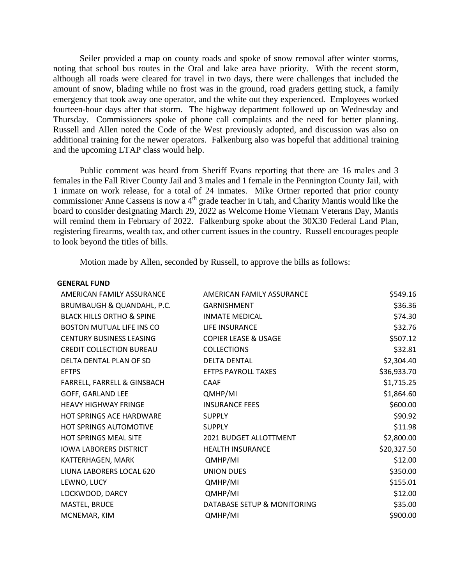Seiler provided a map on county roads and spoke of snow removal after winter storms, noting that school bus routes in the Oral and lake area have priority. With the recent storm, although all roads were cleared for travel in two days, there were challenges that included the amount of snow, blading while no frost was in the ground, road graders getting stuck, a family emergency that took away one operator, and the white out they experienced. Employees worked fourteen-hour days after that storm. The highway department followed up on Wednesday and Thursday. Commissioners spoke of phone call complaints and the need for better planning. Russell and Allen noted the Code of the West previously adopted, and discussion was also on additional training for the newer operators. Falkenburg also was hopeful that additional training and the upcoming LTAP class would help.

Public comment was heard from Sheriff Evans reporting that there are 16 males and 3 females in the Fall River County Jail and 3 males and 1 female in the Pennington County Jail, with 1 inmate on work release, for a total of 24 inmates. Mike Ortner reported that prior county commissioner Anne Cassens is now a 4<sup>th</sup> grade teacher in Utah, and Charity Mantis would like the board to consider designating March 29, 2022 as Welcome Home Vietnam Veterans Day, Mantis will remind them in February of 2022. Falkenburg spoke about the 30X30 Federal Land Plan, registering firearms, wealth tax, and other current issues in the country. Russell encourages people to look beyond the titles of bills.

Motion made by Allen, seconded by Russell, to approve the bills as follows:

| <b>GENERAL FUND</b>                  |                                 |             |
|--------------------------------------|---------------------------------|-------------|
| AMERICAN FAMILY ASSURANCE            | AMERICAN FAMILY ASSURANCE       | \$549.16    |
| BRUMBAUGH & QUANDAHL, P.C.           | <b>GARNISHMENT</b>              | \$36.36     |
| <b>BLACK HILLS ORTHO &amp; SPINE</b> | <b>INMATE MEDICAL</b>           | \$74.30     |
| <b>BOSTON MUTUAL LIFE INS CO</b>     | LIFE INSURANCE                  | \$32.76     |
| <b>CENTURY BUSINESS LEASING</b>      | <b>COPIER LEASE &amp; USAGE</b> | \$507.12    |
| <b>CREDIT COLLECTION BUREAU</b>      | <b>COLLECTIONS</b>              | \$32.81     |
| DELTA DENTAL PLAN OF SD              | <b>DELTA DENTAL</b>             | \$2,304.40  |
| <b>EFTPS</b>                         | <b>EFTPS PAYROLL TAXES</b>      | \$36,933.70 |
| FARRELL, FARRELL & GINSBACH          | CAAF                            | \$1,715.25  |
| GOFF, GARLAND LEE                    | QMHP/MI                         | \$1,864.60  |
| <b>HEAVY HIGHWAY FRINGE</b>          | <b>INSURANCE FEES</b>           | \$600.00    |
| <b>HOT SPRINGS ACE HARDWARE</b>      | <b>SUPPLY</b>                   | \$90.92     |
| <b>HOT SPRINGS AUTOMOTIVE</b>        | <b>SUPPLY</b>                   | \$11.98     |
| <b>HOT SPRINGS MEAL SITE</b>         | 2021 BUDGET ALLOTTMENT          | \$2,800.00  |
| <b>IOWA LABORERS DISTRICT</b>        | <b>HEALTH INSURANCE</b>         | \$20,327.50 |
| KATTERHAGEN, MARK                    | QMHP/MI                         | \$12.00     |
| LIUNA LABORERS LOCAL 620             | <b>UNION DUES</b>               | \$350.00    |
| LEWNO, LUCY                          | QMHP/MI                         | \$155.01    |
| LOCKWOOD, DARCY                      | QMHP/MI                         | \$12.00     |
| MASTEL, BRUCE                        | DATABASE SETUP & MONITORING     | \$35.00     |
| MCNEMAR, KIM                         | QMHP/MI                         | \$900.00    |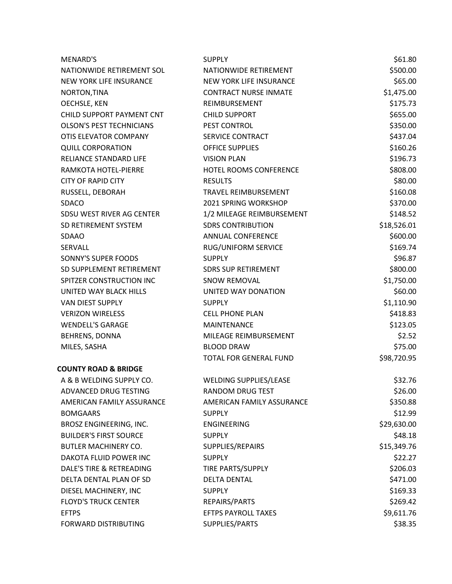| MENARD'S                        | <b>SUPPLY</b>                 | \$61.80     |
|---------------------------------|-------------------------------|-------------|
| NATIONWIDE RETIREMENT SOL       | NATIONWIDE RETIREMENT         | \$500.00    |
| <b>NEW YORK LIFE INSURANCE</b>  | NEW YORK LIFE INSURANCE       | \$65.00     |
| NORTON, TINA                    | <b>CONTRACT NURSE INMATE</b>  | \$1,475.00  |
| <b>OECHSLE, KEN</b>             | REIMBURSEMENT                 | \$175.73    |
| CHILD SUPPORT PAYMENT CNT       | <b>CHILD SUPPORT</b>          | \$655.00    |
| <b>OLSON'S PEST TECHNICIANS</b> | PEST CONTROL                  | \$350.00    |
| OTIS ELEVATOR COMPANY           | <b>SERVICE CONTRACT</b>       | \$437.04    |
| <b>QUILL CORPORATION</b>        | <b>OFFICE SUPPLIES</b>        | \$160.26    |
| RELIANCE STANDARD LIFE          | <b>VISION PLAN</b>            | \$196.73    |
| RAMKOTA HOTEL-PIERRE            | HOTEL ROOMS CONFERENCE        | \$808.00    |
| <b>CITY OF RAPID CITY</b>       | <b>RESULTS</b>                | \$80.00     |
| RUSSELL, DEBORAH                | <b>TRAVEL REIMBURSEMENT</b>   | \$160.08    |
| <b>SDACO</b>                    | 2021 SPRING WORKSHOP          | \$370.00    |
| SDSU WEST RIVER AG CENTER       | 1/2 MILEAGE REIMBURSEMENT     | \$148.52    |
| SD RETIREMENT SYSTEM            | <b>SDRS CONTRIBUTION</b>      | \$18,526.01 |
| <b>SDAAO</b>                    | ANNUAL CONFERENCE             | \$600.00    |
| SERVALL                         | RUG/UNIFORM SERVICE           | \$169.74    |
| SONNY'S SUPER FOODS             | <b>SUPPLY</b>                 | \$96.87     |
| SD SUPPLEMENT RETIREMENT        | <b>SDRS SUP RETIREMENT</b>    | \$800.00    |
| SPITZER CONSTRUCTION INC        | <b>SNOW REMOVAL</b>           | \$1,750.00  |
| UNITED WAY BLACK HILLS          | UNITED WAY DONATION           | \$60.00     |
| VAN DIEST SUPPLY                | <b>SUPPLY</b>                 | \$1,110.90  |
| <b>VERIZON WIRELESS</b>         | <b>CELL PHONE PLAN</b>        | \$418.83    |
| <b>WENDELL'S GARAGE</b>         | <b>MAINTENANCE</b>            | \$123.05    |
| BEHRENS, DONNA                  | MILEAGE REIMBURSEMENT         | \$2.52      |
| MILES, SASHA                    | <b>BLOOD DRAW</b>             | \$75.00     |
|                                 | TOTAL FOR GENERAL FUND        | \$98,720.95 |
| <b>COUNTY ROAD &amp; BRIDGE</b> |                               |             |
| A & B WELDING SUPPLY CO.        | <b>WELDING SUPPLIES/LEASE</b> | \$32.76     |
| ADVANCED DRUG TESTING           | RANDOM DRUG TEST              | \$26.00     |
| AMERICAN FAMILY ASSURANCE       | AMERICAN FAMILY ASSURANCE     | \$350.88    |
| <b>BOMGAARS</b>                 | <b>SUPPLY</b>                 | \$12.99     |
| BROSZ ENGINEERING, INC.         | <b>ENGINEERING</b>            | \$29,630.00 |
| <b>BUILDER'S FIRST SOURCE</b>   | <b>SUPPLY</b>                 | \$48.18     |
| <b>BUTLER MACHINERY CO.</b>     | SUPPLIES/REPAIRS              | \$15,349.76 |
| DAKOTA FLUID POWER INC          | <b>SUPPLY</b>                 | \$22.27     |
| DALE'S TIRE & RETREADING        | TIRE PARTS/SUPPLY             | \$206.03    |
| DELTA DENTAL PLAN OF SD         | <b>DELTA DENTAL</b>           | \$471.00    |
| DIESEL MACHINERY, INC           | <b>SUPPLY</b>                 | \$169.33    |
| <b>FLOYD'S TRUCK CENTER</b>     | REPAIRS/PARTS                 | \$269.42    |
| <b>EFTPS</b>                    | <b>EFTPS PAYROLL TAXES</b>    | \$9,611.76  |
| FORWARD DISTRIBUTING            | SUPPLIES/PARTS                | \$38.35     |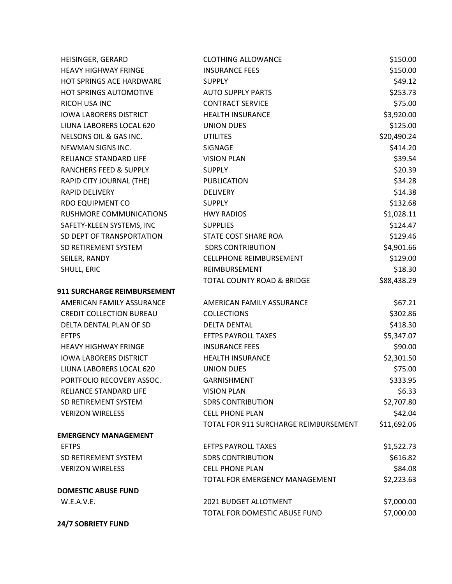| HEISINGER, GERARD                  | <b>CLOTHING ALLOWANCE</b>             | \$150.00    |
|------------------------------------|---------------------------------------|-------------|
| <b>HEAVY HIGHWAY FRINGE</b>        | <b>INSURANCE FEES</b>                 | \$150.00    |
| HOT SPRINGS ACE HARDWARE           | <b>SUPPLY</b>                         | \$49.12     |
| HOT SPRINGS AUTOMOTIVE             | <b>AUTO SUPPLY PARTS</b>              | \$253.73    |
| RICOH USA INC                      | <b>CONTRACT SERVICE</b>               | \$75.00     |
| <b>IOWA LABORERS DISTRICT</b>      | <b>HEALTH INSURANCE</b>               | \$3,920.00  |
| LIUNA LABORERS LOCAL 620           | <b>UNION DUES</b>                     | \$125.00    |
| NELSONS OIL & GAS INC.             | <b>UTILITES</b>                       | \$20,490.24 |
| NEWMAN SIGNS INC.                  | <b>SIGNAGE</b>                        | \$414.20    |
| <b>RELIANCE STANDARD LIFE</b>      | <b>VISION PLAN</b>                    | \$39.54     |
| RANCHERS FEED & SUPPLY             | <b>SUPPLY</b>                         | \$20.39     |
| RAPID CITY JOURNAL (THE)           | PUBLICATION                           | \$34.28     |
| <b>RAPID DELIVERY</b>              | <b>DELIVERY</b>                       | \$14.38     |
| RDO EQUIPMENT CO                   | <b>SUPPLY</b>                         | \$132.68    |
| RUSHMORE COMMUNICATIONS            | <b>HWY RADIOS</b>                     | \$1,028.11  |
| SAFETY-KLEEN SYSTEMS, INC          | <b>SUPPLIES</b>                       | \$124.47    |
| SD DEPT OF TRANSPORTATION          | STATE COST SHARE ROA                  | \$129.46    |
| SD RETIREMENT SYSTEM               | <b>SDRS CONTRIBUTION</b>              | \$4,901.66  |
| SEILER, RANDY                      | <b>CELLPHONE REIMBURSEMENT</b>        | \$129.00    |
| SHULL, ERIC                        | REIMBURSEMENT                         | \$18.30     |
|                                    | <b>TOTAL COUNTY ROAD &amp; BRIDGE</b> | \$88,438.29 |
| <b>911 SURCHARGE REIMBURSEMENT</b> |                                       |             |
| AMERICAN FAMILY ASSURANCE          | AMERICAN FAMILY ASSURANCE             | \$67.21     |
| <b>CREDIT COLLECTION BUREAU</b>    | <b>COLLECTIONS</b>                    | \$302.86    |
| DELTA DENTAL PLAN OF SD            | <b>DELTA DENTAL</b>                   | \$418.30    |
| <b>EFTPS</b>                       | <b>EFTPS PAYROLL TAXES</b>            | \$5,347.07  |
| <b>HEAVY HIGHWAY FRINGE</b>        | <b>INSURANCE FEES</b>                 | \$90.00     |
| <b>IOWA LABORERS DISTRICT</b>      | <b>HEALTH INSURANCE</b>               | \$2,301.50  |
| LIUNA LABORERS LOCAL 620           | <b>UNION DUES</b>                     | \$75.00     |
| PORTFOLIO RECOVERY ASSOC.          | GARNISHMENT                           | \$333.95    |
| RELIANCE STANDARD LIFE             | <b>VISION PLAN</b>                    | \$6.33      |
| SD RETIREMENT SYSTEM               | <b>SDRS CONTRIBUTION</b>              | \$2,707.80  |
| <b>VERIZON WIRELESS</b>            | <b>CELL PHONE PLAN</b>                | \$42.04     |
|                                    | TOTAL FOR 911 SURCHARGE REIMBURSEMENT | \$11,692.06 |
| <b>EMERGENCY MANAGEMENT</b>        |                                       |             |
| <b>EFTPS</b>                       | <b>EFTPS PAYROLL TAXES</b>            | \$1,522.73  |
| SD RETIREMENT SYSTEM               | <b>SDRS CONTRIBUTION</b>              | \$616.82    |
| <b>VERIZON WIRELESS</b>            | <b>CELL PHONE PLAN</b>                | \$84.08     |
|                                    | <b>TOTAL FOR EMERGENCY MANAGEMENT</b> | \$2,223.63  |
| <b>DOMESTIC ABUSE FUND</b>         |                                       |             |
| W.E.A.V.E.                         | 2021 BUDGET ALLOTMENT                 | \$7,000.00  |
|                                    | TOTAL FOR DOMESTIC ABUSE FUND         | \$7,000.00  |
| <b>24/7 SOBRIETY FUND</b>          |                                       |             |